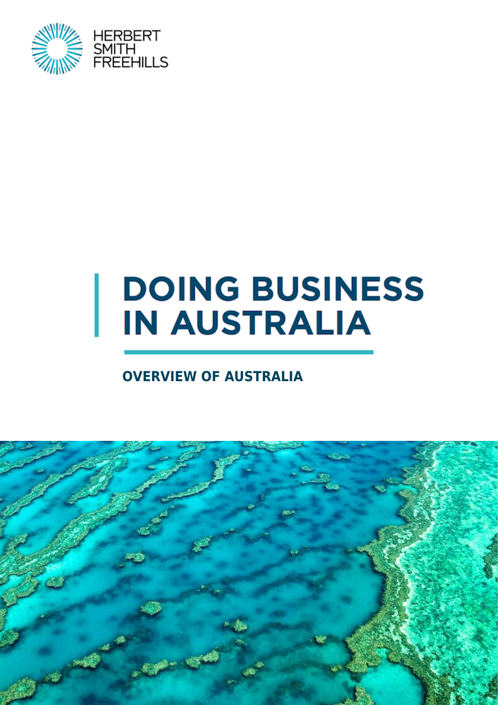

# **DOING BUSINESS IN AUSTRALIA**

### **OVERVIEW OF AUSTRALIA**

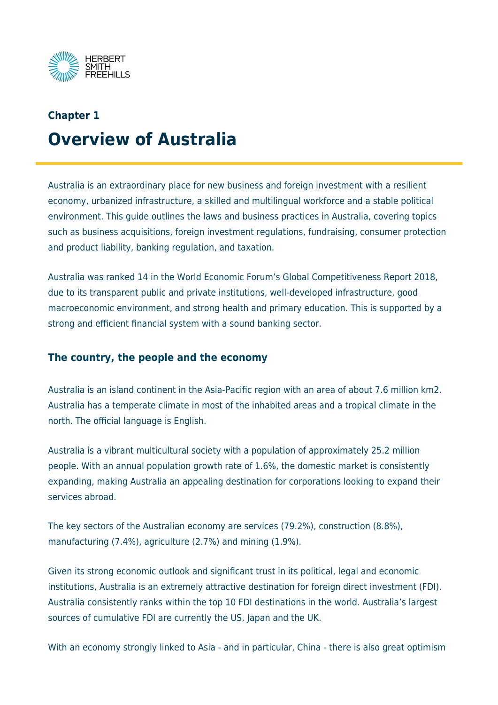

## **Chapter 1 Overview of Australia**

Australia is an extraordinary place for new business and foreign investment with a resilient economy, urbanized infrastructure, a skilled and multilingual workforce and a stable political environment. This guide outlines the laws and business practices in Australia, covering topics such as business acquisitions, foreign investment regulations, fundraising, consumer protection and product liability, banking regulation, and taxation.

Australia was ranked 14 in the World Economic Forum's Global Competitiveness Report 2018, due to its transparent public and private institutions, well-developed infrastructure, good macroeconomic environment, and strong health and primary education. This is supported by a strong and efficient financial system with a sound banking sector.

#### **The country, the people and the economy**

Australia is an island continent in the Asia-Pacific region with an area of about 7.6 million km2. Australia has a temperate climate in most of the inhabited areas and a tropical climate in the north. The official language is English.

Australia is a vibrant multicultural society with a population of approximately 25.2 million people. With an annual population growth rate of 1.6%, the domestic market is consistently expanding, making Australia an appealing destination for corporations looking to expand their services abroad.

The key sectors of the Australian economy are services (79.2%), construction (8.8%), manufacturing (7.4%), agriculture (2.7%) and mining (1.9%).

Given its strong economic outlook and significant trust in its political, legal and economic institutions, Australia is an extremely attractive destination for foreign direct investment (FDI). Australia consistently ranks within the top 10 FDI destinations in the world. Australia's largest sources of cumulative FDI are currently the US, Japan and the UK.

With an economy strongly linked to Asia - and in particular, China - there is also great optimism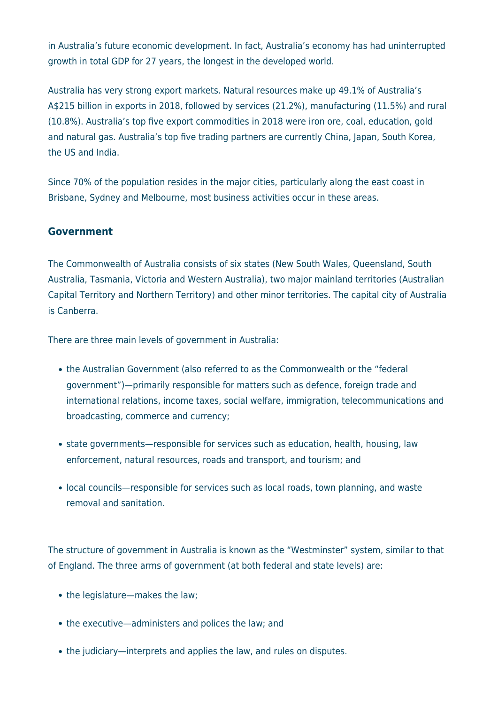in Australia's future economic development. In fact, Australia's economy has had uninterrupted growth in total GDP for 27 years, the longest in the developed world.

Australia has very strong export markets. Natural resources make up 49.1% of Australia's A\$215 billion in exports in 2018, followed by services (21.2%), manufacturing (11.5%) and rural (10.8%). Australia's top five export commodities in 2018 were iron ore, coal, education, gold and natural gas. Australia's top five trading partners are currently China, Japan, South Korea, the US and India.

Since 70% of the population resides in the major cities, particularly along the east coast in Brisbane, Sydney and Melbourne, most business activities occur in these areas.

#### **Government**

The Commonwealth of Australia consists of six states (New South Wales, Queensland, South Australia, Tasmania, Victoria and Western Australia), two major mainland territories (Australian Capital Territory and Northern Territory) and other minor territories. The capital city of Australia is Canberra.

There are three main levels of government in Australia:

- the Australian Government (also referred to as the Commonwealth or the "federal government")—primarily responsible for matters such as defence, foreign trade and international relations, income taxes, social welfare, immigration, telecommunications and broadcasting, commerce and currency;
- state governments—responsible for services such as education, health, housing, law enforcement, natural resources, roads and transport, and tourism; and
- local councils—responsible for services such as local roads, town planning, and waste removal and sanitation.

The structure of government in Australia is known as the "Westminster" system, similar to that of England. The three arms of government (at both federal and state levels) are:

- the legislature—makes the law;
- the executive—administers and polices the law; and
- the judiciary—interprets and applies the law, and rules on disputes.